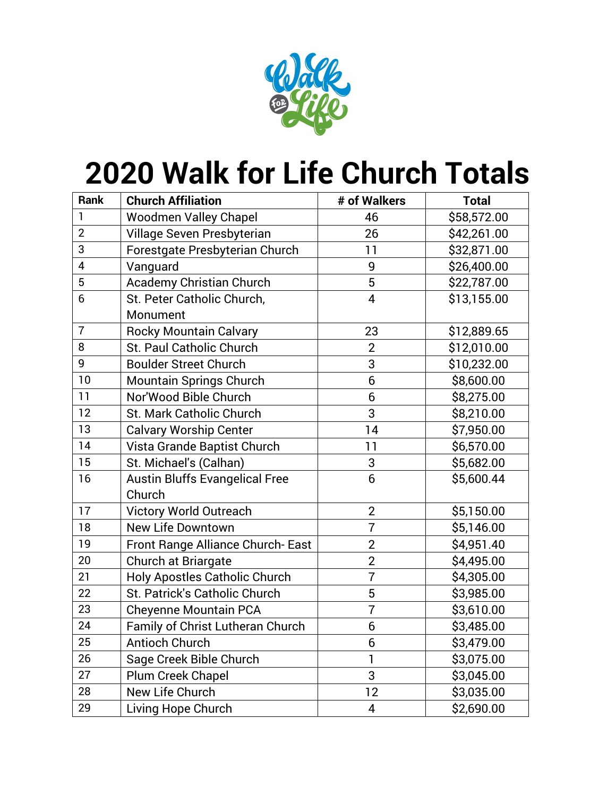

## **Walk for Life Church Totals**

| Rank           | <b>Church Affiliation</b>             | # of Walkers   | <b>Total</b> |
|----------------|---------------------------------------|----------------|--------------|
| 1              | <b>Woodmen Valley Chapel</b>          | 46             | \$58,572.00  |
| $\overline{2}$ | Village Seven Presbyterian            | 26             | \$42,261.00  |
| 3              | Forestgate Presbyterian Church        | 11             | \$32,871.00  |
| 4              | Vanguard                              | 9              | \$26,400.00  |
| 5              | <b>Academy Christian Church</b>       | 5              | \$22,787.00  |
| 6              | St. Peter Catholic Church,            | 4              | \$13,155.00  |
|                | Monument                              |                |              |
| $\overline{7}$ | <b>Rocky Mountain Calvary</b>         | 23             | \$12,889.65  |
| 8              | St. Paul Catholic Church              | $\overline{2}$ | \$12,010.00  |
| 9              | <b>Boulder Street Church</b>          | 3              | \$10,232.00  |
| 10             | <b>Mountain Springs Church</b>        | 6              | \$8,600.00   |
| 11             | Nor'Wood Bible Church                 | 6              | \$8,275.00   |
| 12             | <b>St. Mark Catholic Church</b>       | 3              | \$8,210.00   |
| 13             | <b>Calvary Worship Center</b>         | 14             | \$7,950.00   |
| 14             | Vista Grande Baptist Church           | 11             | \$6,570.00   |
| 15             | St. Michael's (Calhan)                | 3              | \$5,682.00   |
| 16             | <b>Austin Bluffs Evangelical Free</b> | 6              | \$5,600.44   |
|                | Church                                |                |              |
| 17             | <b>Victory World Outreach</b>         | $\overline{2}$ | \$5,150.00   |
| 18             | <b>New Life Downtown</b>              | $\overline{7}$ | \$5,146.00   |
| 19             | Front Range Alliance Church-East      | $\overline{2}$ | \$4,951.40   |
| 20             | Church at Briargate                   | $\overline{2}$ | \$4,495.00   |
| 21             | <b>Holy Apostles Catholic Church</b>  | 7              | \$4,305.00   |
| 22             | St. Patrick's Catholic Church         | 5              | \$3,985.00   |
| 23             | <b>Cheyenne Mountain PCA</b>          | $\overline{7}$ | \$3,610.00   |
| 24             | Family of Christ Lutheran Church      | 6              | \$3,485.00   |
| 25             | Antioch Church                        | 6              | \$3,479.00   |
| 26             | Sage Creek Bible Church               | 1              | \$3,075.00   |
| 27             | Plum Creek Chapel                     | 3              | \$3,045.00   |
| 28             | New Life Church                       | 12             | \$3,035.00   |
| 29             | Living Hope Church                    | 4              | \$2,690.00   |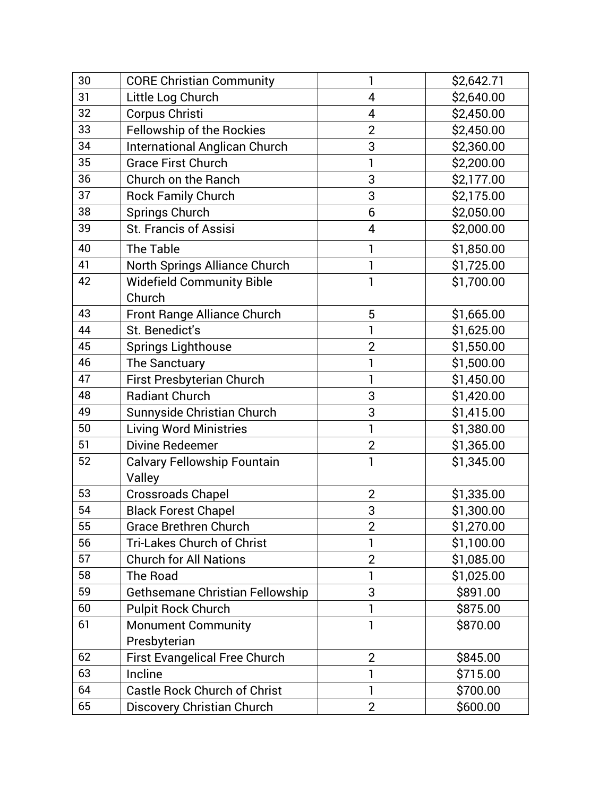| 30 | <b>CORE Christian Community</b>        | 1              | \$2,642.71 |
|----|----------------------------------------|----------------|------------|
| 31 | Little Log Church                      | 4              | \$2,640.00 |
| 32 | Corpus Christi                         | 4              | \$2,450.00 |
| 33 | <b>Fellowship of the Rockies</b>       | $\overline{2}$ | \$2,450.00 |
| 34 | <b>International Anglican Church</b>   | 3              | \$2,360.00 |
| 35 | <b>Grace First Church</b>              | 1              | \$2,200.00 |
| 36 | Church on the Ranch                    | 3              | \$2,177.00 |
| 37 | <b>Rock Family Church</b>              | 3              | \$2,175.00 |
| 38 | Springs Church                         | 6              | \$2,050.00 |
| 39 | <b>St. Francis of Assisi</b>           | 4              | \$2,000.00 |
| 40 | The Table                              |                | \$1,850.00 |
| 41 | North Springs Alliance Church          |                | \$1,725.00 |
| 42 | <b>Widefield Community Bible</b>       | 1              | \$1,700.00 |
|    | Church                                 |                |            |
| 43 | Front Range Alliance Church            | 5              | \$1,665.00 |
| 44 | St. Benedict's                         | 1              | \$1,625.00 |
| 45 | <b>Springs Lighthouse</b>              | $\overline{2}$ | \$1,550.00 |
| 46 | The Sanctuary                          | 1              | \$1,500.00 |
| 47 | First Presbyterian Church              | 1              | \$1,450.00 |
| 48 | <b>Radiant Church</b>                  | 3              | \$1,420.00 |
| 49 | Sunnyside Christian Church             | 3              | \$1,415.00 |
| 50 | <b>Living Word Ministries</b>          | 1              | \$1,380.00 |
| 51 | Divine Redeemer                        | $\overline{2}$ | \$1,365.00 |
| 52 | <b>Calvary Fellowship Fountain</b>     | 1              | \$1,345.00 |
|    | Valley                                 |                |            |
| 53 | <b>Crossroads Chapel</b>               | $\overline{2}$ | \$1,335.00 |
| 54 | <b>Black Forest Chapel</b>             | 3              | \$1,300.00 |
| 55 | <b>Grace Brethren Church</b>           | $\overline{2}$ | \$1,270.00 |
| 56 | <b>Tri-Lakes Church of Christ</b>      | 1              | \$1,100.00 |
| 57 | <b>Church for All Nations</b>          | $\overline{2}$ | \$1,085.00 |
| 58 | The Road                               | 1              | \$1,025.00 |
| 59 | <b>Gethsemane Christian Fellowship</b> | 3              | \$891.00   |
| 60 | <b>Pulpit Rock Church</b>              | 1              | \$875.00   |
| 61 | <b>Monument Community</b>              | 1              | \$870.00   |
|    | Presbyterian                           |                |            |
| 62 | <b>First Evangelical Free Church</b>   | $\overline{2}$ | \$845.00   |
| 63 | Incline                                | 1              | \$715.00   |
| 64 | <b>Castle Rock Church of Christ</b>    | 1              | \$700.00   |
| 65 | Discovery Christian Church             | $\overline{2}$ | \$600.00   |